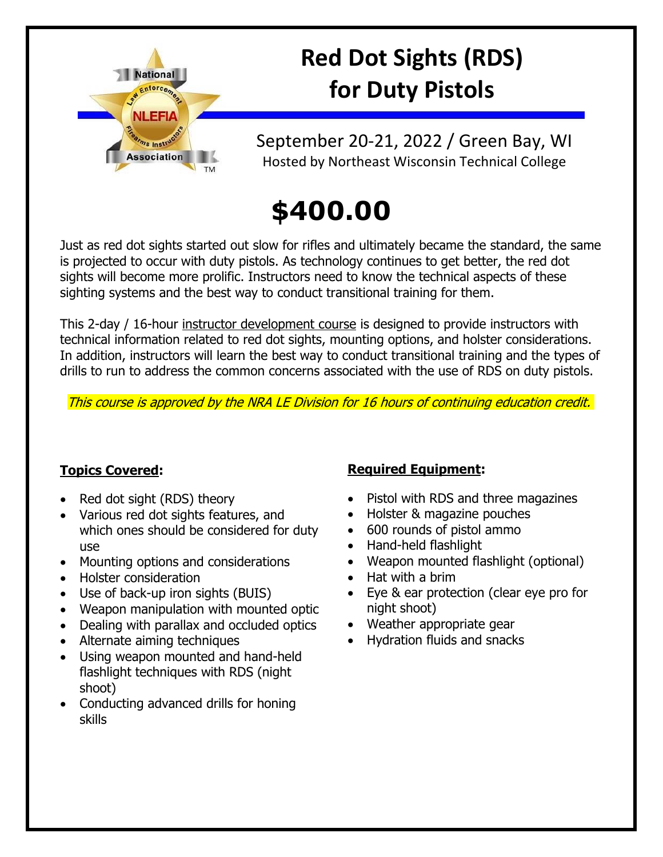

# **Red Dot Sights (RDS) for Duty Pistols**

September 20-21, 2022 / Green Bay, WI Hosted by Northeast Wisconsin Technical College

# **\$400.00**

Just as red dot sights started out slow for rifles and ultimately became the standard, the same is projected to occur with duty pistols. As technology continues to get better, the red dot sights will become more prolific. Instructors need to know the technical aspects of these sighting systems and the best way to conduct transitional training for them.

This 2-day / 16-hour instructor development course is designed to provide instructors with technical information related to red dot sights, mounting options, and holster considerations. In addition, instructors will learn the best way to conduct transitional training and the types of drills to run to address the common concerns associated with the use of RDS on duty pistols.

This course is approved by the NRA LE Division for 16 hours of continuing education credit.

### **Topics Covered:**

- Red dot sight (RDS) theory
- Various red dot sights features, and which ones should be considered for duty use
- Mounting options and considerations
- Holster consideration
- Use of back-up iron sights (BUIS)
- Weapon manipulation with mounted optic
- Dealing with parallax and occluded optics
- Alternate aiming techniques
- Using weapon mounted and hand-held flashlight techniques with RDS (night shoot)
- Conducting advanced drills for honing skills

### **Required Equipment:**

- Pistol with RDS and three magazines
- Holster & magazine pouches
- 600 rounds of pistol ammo
- Hand-held flashlight
- Weapon mounted flashlight (optional)
- Hat with a brim
- Eye & ear protection (clear eye pro for night shoot)
- Weather appropriate gear
- Hydration fluids and snacks